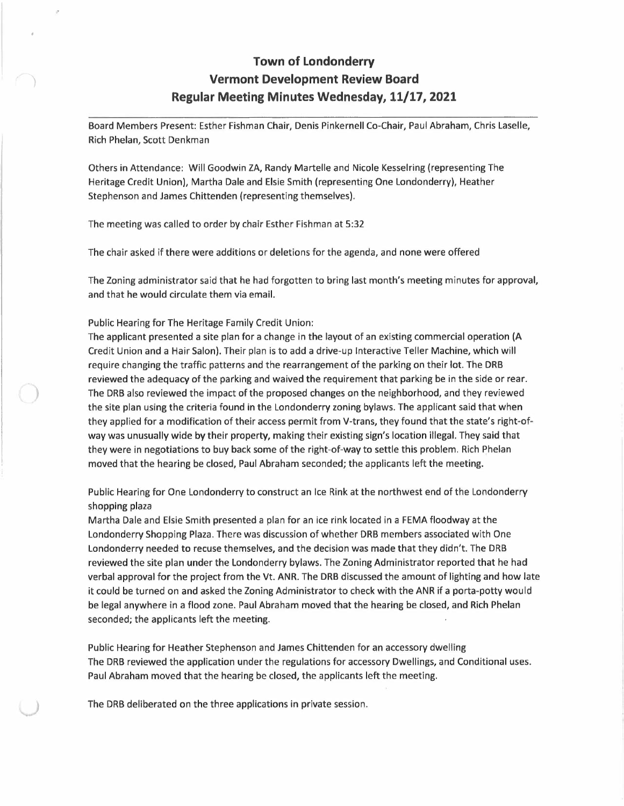## **Town of Londonderry Vermont Development Review Board Regular Meeting Minutes Wednesday, 11/17, 2021**

Board Members Present: Esther Fishman Chair, Denis Pinkernell Co-Chair, Paul Abraham, Chris Laselle, Rich Phelan, Scott Denkman

Others in Attendance: Will Goodwin ZA, Randy Martelle and Nicole Kesselring (representing The Heritage Credit Union), Martha Dale and Elsie Smith (representing One Londonderry), Heather Stephenson and James Chittenden (representing themselves).

The meeting was called to order by chair Esther Fishman at 5:32

The chair asked if there were additions or deletions for the agenda, and none were offered

The Zoning administrator said that he had forgotten to bring last month's meeting minutes for approval, and that he would circulate them via email.

Public Hearing for The Heritage Family Credit Union:

)

)

The applicant presented a site plan for a change in the layout of an existing commercial operation **(A**  Credit Union and a Hair Salon). Their plan is to add a drive-up Interactive Teller Machine, which will require changing the traffic patterns and the rearrangement of the parking on their lot. The DRB reviewed the adequacy of the parking and waived the requirement that parking be in the side or rear. The DRB also reviewed the impact of the proposed changes on the neighborhood, and they reviewed the site plan using the criteria found in the Londonderry zoning bylaws. The applicant said that when they applied for a modification of their access permit from V-trans, they found that the state's right-ofway was unusually wide by their property, making their existing sign's location illegal. They said that they were in negotiations to buy back some of the right-of-way to settle this problem. Rich Phelan moved that the hearing be closed, Paul Abraham seconded; the applicants left the meeting.

Public Hearing for One Londonderry to construct an Ice Rink at the northwest end of the Londonderry shopping plaza

Martha Dale and Elsie Smith presented a plan for an ice rink located in a FEMA floodway at the Londonderry Shopping Plaza. There was discussion of whether DRB members associated with One Londonderry needed to recuse themselves, and the decision was made that they didn't. The DRB reviewed the site plan under the Londonderry bylaws. The Zoning Administrator reported that he had verbal approval for the project from the Vt. ANR. The DRB discussed the amount of lighting and how late it could be turned on and asked the Zoning Administrator to check with the ANR if a porta-potty would be legal anywhere in a flood zone. Paul Abraham moved that the hearing be closed, and Rich Phelan seconded; the applicants left the meeting.

Public Hearing for Heather Stephenson and James Chittenden for an accessory dwelling The DRB reviewed the application under the regulations for accessory Dwellings, and Conditional uses. Paul Abraham moved that the hearing be closed, the applicants left the meeting.

*)* The DRB deliberated on the three applications in private session.